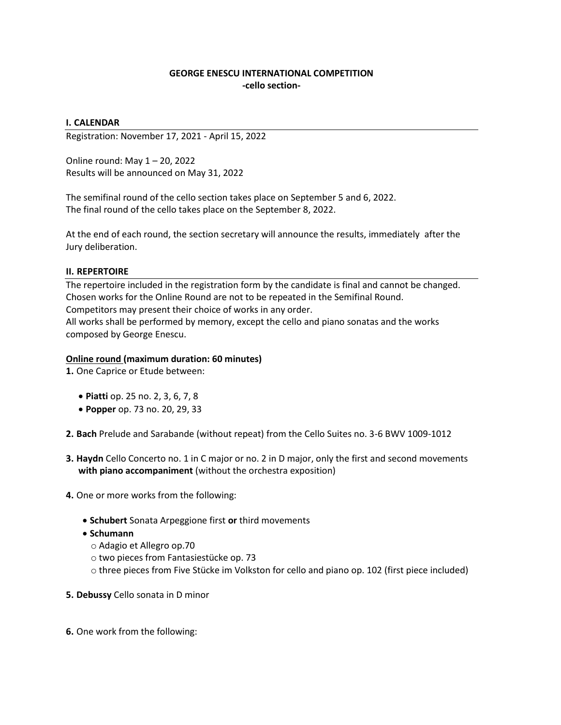# **GEORGE ENESCU INTERNATIONAL COMPETITION -cello section-**

## **I. CALENDAR**

Registration: November 17, 2021 - April 15, 2022

Online round: May 1 – 20, 2022 Results will be announced on May 31, 2022

The semifinal round of the cello section takes place on September 5 and 6, 2022. The final round of the cello takes place on the September 8, 2022.

At the end of each round, the section secretary will announce the results, immediately after the Jury deliberation.

### **II. REPERTOIRE**

The repertoire included in the registration form by the candidate is final and cannot be changed. Chosen works for the Online Round are not to be repeated in the Semifinal Round. Competitors may present their choice of works in any order.

All works shall be performed by memory, except the cello and piano sonatas and the works composed by George Enescu.

#### **Online round (maximum duration: 60 minutes)**

**1.** One Caprice or Etude between:

- **Piatti** op. 25 no. 2, 3, 6, 7, 8
- **Popper** op. 73 no. 20, 29, 33

**2. Bach** Prelude and Sarabande (without repeat) from the Cello Suites no. 3-6 BWV 1009-1012

- **3. Haydn** Cello Concerto no. 1 in C major or no. 2 in D major, only the first and second movements **with piano accompaniment** (without the orchestra exposition)
- **4.** One or more works from the following:
	- **Schubert** Sonata Arpeggione first **or** third movements
	- **Schumann**
		- o Adagio et Allegro op.70
		- o two pieces from Fantasiestücke op. 73
		- o three pieces from Five Stücke im Volkston for cello and piano op. 102 (first piece included)
- **5. Debussy** Cello sonata in D minor
- **6.** One work from the following: